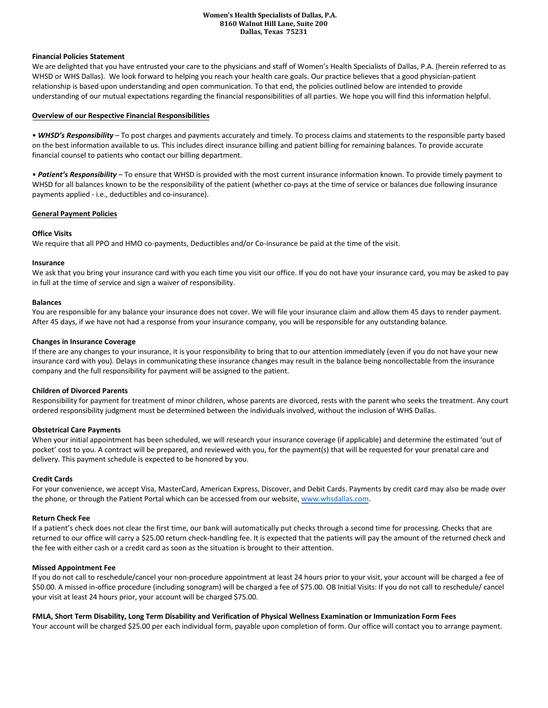### **Women's Health Specialists of Dallas, P.A. 8160 Walnut Hill Lane, Suite 200 Dallas, Texas 75231**

## **Financial Policies Statement**

We are delighted that you have entrusted your care to the physicians and staff of Women's Health Specialists of Dallas, P.A. (herein referred to as WHSD or WHS Dallas). We look forward to helping you reach your health care goals. Our practice believes that a good physician-patient relationship is based upon understanding and open communication. To that end, the policies outlined below are intended to provide understanding of our mutual expectations regarding the financial responsibilities of all parties. We hope you will find this information helpful.

## **Overview of our Respective Financial Responsibilities**

• *WHSD's Responsibility* – To post charges and payments accurately and timely. To process claims and statements to the responsible party based on the best information available to us. This includes direct insurance billing and patient billing for remaining balances. To provide accurate financial counsel to patients who contact our billing department.

• *Patient's Responsibility* – To ensure that WHSD is provided with the most current insurance information known. To provide timely payment to WHSD for all balances known to be the responsibility of the patient (whether co-pays at the time of service or balances due following insurance payments applied - i.e., deductibles and co-insurance).

# **General Payment Policies**

# **Office Visits**

We require that all PPO and HMO co-payments, Deductibles and/or Co-insurance be paid at the time of the visit.

# **Insurance**

We ask that you bring your insurance card with you each time you visit our office. If you do not have your insurance card, you may be asked to pay in full at the time of service and sign a waiver of responsibility.

## **Balances**

You are responsible for any balance your insurance does not cover. We will file your insurance claim and allow them 45 days to render payment. After 45 days, if we have not had a response from your insurance company, you will be responsible for any outstanding balance.

## **Changes in Insurance Coverage**

If there are any changes to your insurance, it is your responsibility to bring that to our attention immediately (even if you do not have your new insurance card with you). Delays in communicating these insurance changes may result in the balance being noncollectable from the insurance company and the full responsibility for payment will be assigned to the patient.

## **Children of Divorced Parents**

Responsibility for payment for treatment of minor children, whose parents are divorced, rests with the parent who seeks the treatment. Any court ordered responsibility judgment must be determined between the individuals involved, without the inclusion of WHS Dallas.

## **Obstetrical Care Payments**

When your initial appointment has been scheduled, we will research your insurance coverage (if applicable) and determine the estimated 'out of pocket' cost to you. A contract will be prepared, and reviewed with you, for the payment(s) that will be requested for your prenatal care and delivery. This payment schedule is expected to be honored by you.

## **Credit Cards**

For your convenience, we accept Visa, MasterCard, American Express, Discover, and Debit Cards. Payments by credit card may also be made over the phone, or through the Patient Portal which can be accessed from our website, [www.whsdallas.com.](http://www.whsdallas.com/)

## **Return Check Fee**

If a patient's check does not clear the first time, our bank will automatically put checks through a second time for processing. Checks that are returned to our office will carry a \$25.00 return check-handling fee. It is expected that the patients will pay the amount of the returned check and the fee with either cash or a credit card as soon as the situation is brought to their attention.

## **Missed Appointment Fee**

If you do not call to reschedule/cancel your non-procedure appointment at least 24 hours prior to your visit, your account will be charged a fee of \$50.00. A missed in-office procedure (including sonogram) will be charged a fee of \$75.00. OB Initial Visits: If you do not call to reschedule/ cancel your visit at least 24 hours prior, your account will be charged \$75.00.

# **FMLA, Short Term Disability, Long Term Disability and Verification of Physical Wellness Examination or Immunization Form Fees**

Your account will be charged \$25.00 per each individual form, payable upon completion of form. Our office will contact you to arrange payment.